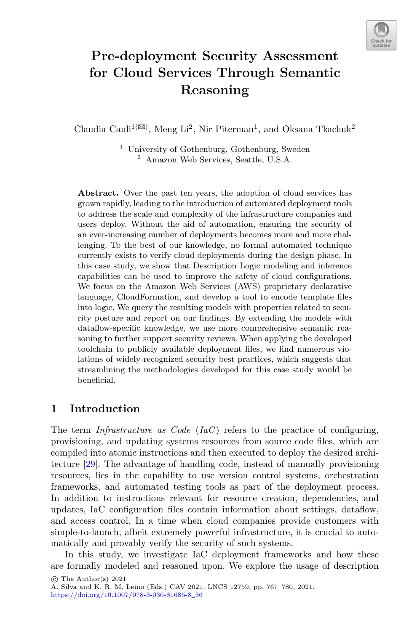

# **Pre-deployment Security Assessment for Cloud Services Through Semantic Reasoning**

Claudia Cauli<sup>1( $\boxtimes$ )</sup>, Meng Li<sup>2</sup>, Nir Piterman<sup>1</sup>, and Oksana Tkachuk<sup>2</sup>

<sup>1</sup> University of Gothenburg, Gothenburg, Sweden <sup>2</sup> Amazon Web Services, Seattle, U.S.A.

**Abstract.** Over the past ten years, the adoption of cloud services has grown rapidly, leading to the introduction of automated deployment tools to address the scale and complexity of the infrastructure companies and users deploy. Without the aid of automation, ensuring the security of an ever-increasing number of deployments becomes more and more challenging. To the best of our knowledge, no formal automated technique currently exists to verify cloud deployments during the design phase. In this case study, we show that Description Logic modeling and inference capabilities can be used to improve the safety of cloud configurations. We focus on the Amazon Web Services (AWS) proprietary declarative language, CloudFormation, and develop a tool to encode template files into logic. We query the resulting models with properties related to security posture and report on our findings. By extending the models with dataflow-specific knowledge, we use more comprehensive semantic reasoning to further support security reviews. When applying the developed toolchain to publicly available deployment files, we find numerous violations of widely-recognized security best practices, which suggests that streamlining the methodologies developed for this case study would be beneficial.

## **1 Introduction**

The term *Infrastructure as Code* (*IaC* ) refers to the practice of configuring, provisioning, and updating systems resources from source code files, which are compiled into atomic instructions and then executed to deploy the desired architecture [\[29](#page-12-0)]. The advantage of handling code, instead of manually provisioning resources, lies in the capability to use version control systems, orchestration frameworks, and automated testing tools as part of the deployment process. In addition to instructions relevant for resource creation, dependencies, and updates, IaC configuration files contain information about settings, dataflow, and access control. In a time when cloud companies provide customers with simple-to-launch, albeit extremely powerful infrastructure, it is crucial to automatically and provably verify the security of such systems.

In this study, we investigate IaC deployment frameworks and how these are formally modeled and reasoned upon. We explore the usage of description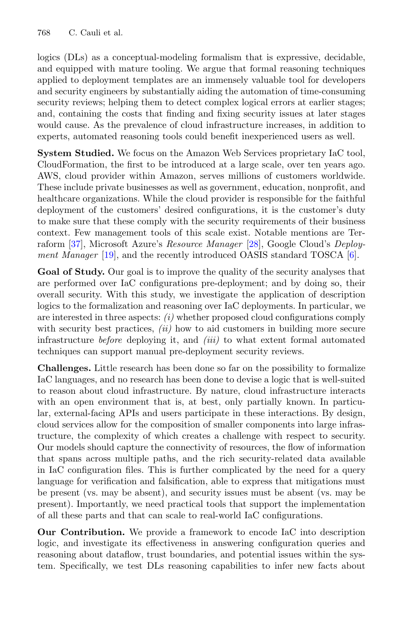logics (DLs) as a conceptual-modeling formalism that is expressive, decidable, and equipped with mature tooling. We argue that formal reasoning techniques applied to deployment templates are an immensely valuable tool for developers and security engineers by substantially aiding the automation of time-consuming security reviews; helping them to detect complex logical errors at earlier stages; and, containing the costs that finding and fixing security issues at later stages would cause. As the prevalence of cloud infrastructure increases, in addition to experts, automated reasoning tools could benefit inexperienced users as well.

**System Studied.** We focus on the Amazon Web Services proprietary IaC tool, CloudFormation, the first to be introduced at a large scale, over ten years ago. AWS, cloud provider within Amazon, serves millions of customers worldwide. These include private businesses as well as government, education, nonprofit, and healthcare organizations. While the cloud provider is responsible for the faithful deployment of the customers' desired configurations, it is the customer's duty to make sure that these comply with the security requirements of their business context. Few management tools of this scale exist. Notable mentions are Terraform [\[37\]](#page-12-1), Microsoft Azure's *Resource Manager* [\[28\]](#page-12-2), Google Cloud's *Deployment Manager* [\[19\]](#page-12-3), and the recently introduced OASIS standard TOSCA [\[6](#page-11-0)].

**Goal of Study.** Our goal is to improve the quality of the security analyses that are performed over IaC configurations pre-deployment; and by doing so, their overall security. With this study, we investigate the application of description logics to the formalization and reasoning over IaC deployments. In particular, we are interested in three aspects: *(i)* whether proposed cloud configurations comply with security best practices, *(ii)* how to aid customers in building more secure infrastructure *before* deploying it, and *(iii)* to what extent formal automated techniques can support manual pre-deployment security reviews.

**Challenges.** Little research has been done so far on the possibility to formalize IaC languages, and no research has been done to devise a logic that is well-suited to reason about cloud infrastructure. By nature, cloud infrastructure interacts with an open environment that is, at best, only partially known. In particular, external-facing APIs and users participate in these interactions. By design, cloud services allow for the composition of smaller components into large infrastructure, the complexity of which creates a challenge with respect to security. Our models should capture the connectivity of resources, the flow of information that spans across multiple paths, and the rich security-related data available in IaC configuration files. This is further complicated by the need for a query language for verification and falsification, able to express that mitigations must be present (vs. may be absent), and security issues must be absent (vs. may be present). Importantly, we need practical tools that support the implementation of all these parts and that can scale to real-world IaC configurations.

**Our Contribution.** We provide a framework to encode IaC into description logic, and investigate its effectiveness in answering configuration queries and reasoning about dataflow, trust boundaries, and potential issues within the system. Specifically, we test DLs reasoning capabilities to infer new facts about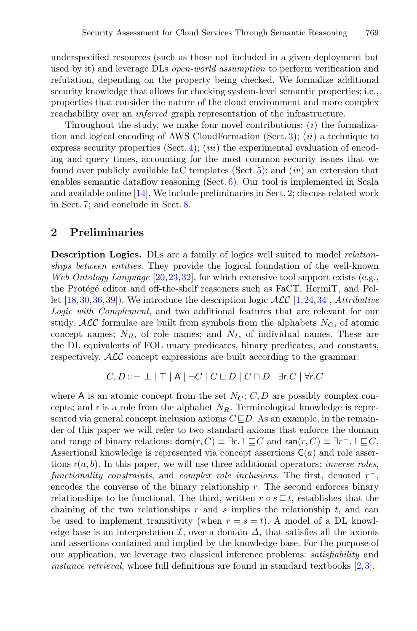underspecified resources (such as those not included in a given deployment but used by it) and leverage DLs *open-world assumption* to perform verification and refutation, depending on the property being checked. We formalize additional security knowledge that allows for checking system-level semantic properties; i.e., properties that consider the nature of the cloud environment and more complex reachability over an *inferred* graph representation of the infrastructure.

Throughout the study, we make four novel contributions: (*i*) the formalization and logical encoding of AWS CloudFormation (Sect. [3\)](#page-3-0); (*ii*) a technique to express security properties (Sect. [4\)](#page-4-0); (*iii*) the experimental evaluation of encoding and query times, accounting for the most common security issues that we found over publicly available IaC templates (Sect. [5\)](#page-5-0); and (*iv*) an extension that enables semantic dataflow reasoning (Sect. [6\)](#page-7-0). Our tool is implemented in Scala and available online [\[14](#page-11-1)]. We include preliminaries in Sect. [2;](#page-2-0) discuss related work in Sect. [7;](#page-9-0) and conclude in Sect. [8.](#page-10-0)

#### <span id="page-2-0"></span>**2 Preliminaries**

**Description Logics.** DLs are a family of logics well suited to model *relationships between entities*. They provide the logical foundation of the well-known *Web Ontology Language* [\[20,](#page-12-4)[23](#page-12-5)[,32](#page-12-6)], for which extensive tool support exists (e.g., the Protégé editor and off-the-shelf reasoners such as FaCT, HermiT, and Pellet [\[18](#page-12-7)[,30](#page-12-8),[36,](#page-12-9)[39\]](#page-12-10)). We introduce the description logic ALC [\[1,](#page-11-2)[24](#page-12-11)[,34](#page-12-12)], *Attributive Logic with Complement*, and two additional features that are relevant for our study.  $ALC$  formulae are built from symbols from the alphabets  $N_C$ , of atomic concept names;  $N_R$ , of role names; and  $N_I$ , of individual names. These are the DL equivalents of FOL unary predicates, binary predicates, and constants, respectively.  $\mathcal{ALC}$  concept expressions are built according to the grammar:

$$
C, D ::= \bot \mid \top \mid A \mid \neg C \mid C \sqcup D \mid C \sqcap D \mid \exists r.C \mid \forall r.C
$$

where A is an atomic concept from the set  $N_C$ ; C, D are possibly complex concepts; and r is a role from the alphabet  $N_R$ . Terminological knowledge is represented via general concept inclusion axioms  $C \square D$ . As an example, in the remainder of this paper we will refer to two standard axioms that enforce the domain and range of binary relations:  $\textsf{dom}(r, C) \equiv \exists r. \top \sqsubseteq C$  and  $\textsf{ran}(r, C) \equiv \exists r^- . \top \sqsubseteq C$ . Assertional knowledge is represented via concept assertions  $C(a)$  and role assertions r(a, b). In this paper, we will use three additional operators: *inverse roles*, *functionality constraints*, and *complex role inclusions*. The first, denoted  $r<sup>−</sup>$ , encodes the converse of the binary relationship  $r$ . The second enforces binary relationships to be functional. The third, written  $r \circ s \sqsubseteq t$ , establishes that the chaining of the two relationships  $r$  and  $s$  implies the relationship  $t$ , and can be used to implement transitivity (when  $r = s = t$ ). A model of a DL knowledge base is an interpretation  $\mathcal{I}$ , over a domain  $\Delta$ , that satisfies all the axioms and assertions contained and implied by the knowledge base. For the purpose of our application, we leverage two classical inference problems: *satisfiability* and *instance retrieval*, whose full definitions are found in standard textbooks [\[2,](#page-11-3)[3\]](#page-11-4).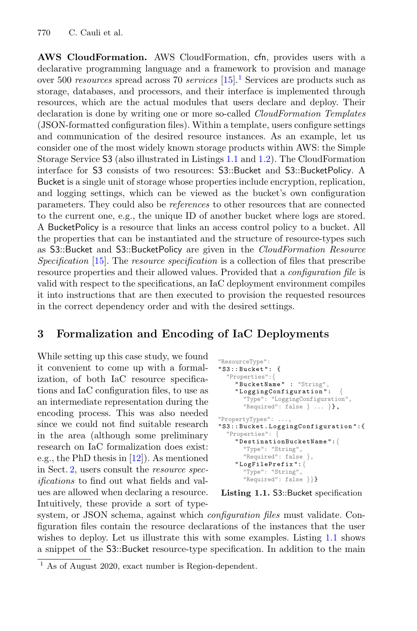<span id="page-3-3"></span>**AWS CloudFormation.** AWS CloudFormation, cfn, provides users with a declarative programming language and a framework to provision and manage over 500 *resources* spread across 70 *services* [\[15\]](#page-11-5).[1](#page-3-1) Services are products such as storage, databases, and processors, and their interface is implemented through resources, which are the actual modules that users declare and deploy. Their declaration is done by writing one or more so-called *CloudFormation Templates* (JSON-formatted configuration files). Within a template, users configure settings and communication of the desired resource instances. As an example, let us consider one of the most widely known storage products within AWS: the Simple Storage Service S3 (also illustrated in Listings [1.1](#page-3-2) and [1.2\)](#page-4-1). The CloudFormation interface for S3 consists of two resources: S3::Bucket and S3::BucketPolicy. A Bucket is a single unit of storage whose properties include encryption, replication, and logging settings, which can be viewed as the bucket's own configuration parameters. They could also be *references* to other resources that are connected to the current one, e.g., the unique ID of another bucket where logs are stored. A BucketPolicy is a resource that links an access control policy to a bucket. All the properties that can be instantiated and the structure of resource-types such as S3::Bucket and S3::BucketPolicy are given in the *CloudFormation Resource Specification* [\[15\]](#page-11-5). The *resource specification* is a collection of files that prescribe resource properties and their allowed values. Provided that a *configuration file* is valid with respect to the specifications, an IaC deployment environment compiles it into instructions that are then executed to provision the requested resources in the correct dependency order and with the desired settings.

## <span id="page-3-0"></span>**3 Formalization and Encoding of IaC Deployments**

While setting up this case study, we found it convenient to come up with a formalization, of both IaC resource specifications and IaC configuration files, to use as an intermediate representation during the encoding process. This was also needed since we could not find suitable research in the area (although some preliminary research on IaC formalization does exist: e.g., the PhD thesis in [\[12\]](#page-11-6)). As mentioned in Sect. [2,](#page-3-3) users consult the *resource specifications* to find out what fields and values are allowed when declaring a resource. Intuitively, these provide a sort of type-

```
"ResourceType":
"S3::Bucket": {
  "Properties":{
    "BucketName" : "String",
    "LoggingConfiguration": {
      "Type": "LoggingConfiguration",
      "Required": false } ... }} ,
"PropertyTypes": ...,
"S3::Bucket .LoggingConfiguration":{
  "Properties": {
    "DestinationBucketName":{
      "Type": "String",
      "Required": false },
    "LogFilePrefix":{
       "Type": "String",
      "Required": false }}}
```

```
Listing 1.1. S3::Bucket specification
```
system, or JSON schema, against which *configuration files* must validate. Configuration files contain the resource declarations of the instances that the user wishes to deploy. Let us illustrate this with some examples. Listing [1.1](#page-3-2) shows a snippet of the S3::Bucket resource-type specification. In addition to the main

<span id="page-3-1"></span> $<sup>1</sup>$  As of August 2020, exact number is Region-dependent.</sup>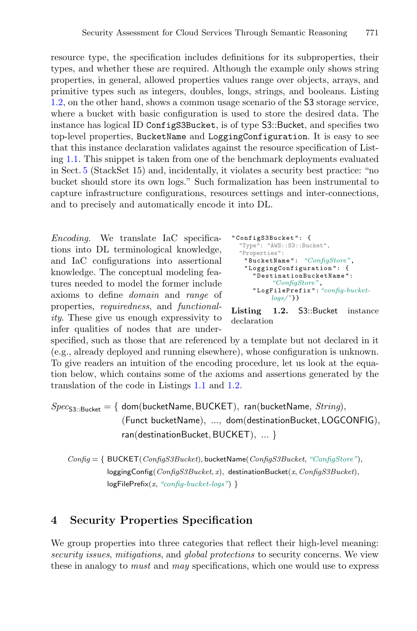resource type, the specification includes definitions for its subproperties, their types, and whether these are required. Although the example only shows string properties, in general, allowed properties values range over objects, arrays, and primitive types such as integers, doubles, longs, strings, and booleans. Listing [1.2,](#page-4-1) on the other hand, shows a common usage scenario of the S3 storage service, where a bucket with basic configuration is used to store the desired data. The instance has logical ID ConfigS3Bucket, is of type S3::Bucket, and specifies two top-level properties, BucketName and LoggingConfiguration. It is easy to see that this instance declaration validates against the resource specification of Listing [1.1.](#page-3-2) This snippet is taken from one of the benchmark deployments evaluated in Sect. [5](#page-5-0) (StackSet 15) and, incidentally, it violates a security best practice: "no bucket should store its own logs." Such formalization has been instrumental to capture infrastructure configurations, resources settings and inter-connections, and to precisely and automatically encode it into DL.

*Encoding.* We translate IaC specifications into DL terminological knowledge, and IaC configurations into assertional knowledge. The conceptual modeling features needed to model the former include axioms to define *domain* and *range* of properties, *requiredness*, and *functionality*. These give us enough expressivity to infer qualities of nodes that are under-

<span id="page-4-1"></span>



specified, such as those that are referenced by a template but not declared in it (e.g., already deployed and running elsewhere), whose configuration is unknown. To give readers an intuition of the encoding procedure, let us look at the equation below, which contains some of the axioms and assertions generated by the translation of the code in Listings [1.1](#page-3-2) and [1.2.](#page-4-1)

```
Spec_{\text{S3::Bucket}} = \{ \text{ dom}(bucketName, BUCKET), \text{ ran}(bucketName, String), \}(Funct bucketName), ..., dom(destinationBucket, LOGCONFIG),
                   ran(destinationBucket, BUCKET), ... }
```

```
Config = { BUCKET(ConfigS3Bucket), bucketName(ConfigS3Bucket, "ConfigStore"),
           loggingConfig(ConfigS3Bucket, x), destinationBucket(x, ConfigS3Bucket),
           logFilePrefix(x, "config-bucket-logs") }
```
#### <span id="page-4-0"></span>**4 Security Properties Specification**

We group properties into three categories that reflect their high-level meaning: *security issues*, *mitigations*, and *global protections* to security concerns. We view these in analogy to *must* and *may* specifications, which one would use to express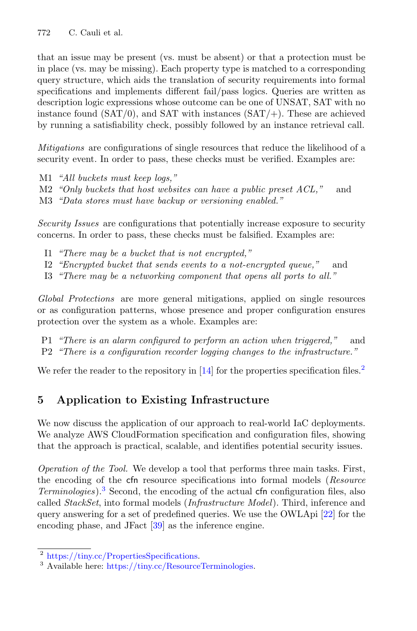that an issue may be present (vs. must be absent) or that a protection must be in place (vs. may be missing). Each property type is matched to a corresponding query structure, which aids the translation of security requirements into formal specifications and implements different fail/pass logics. Queries are written as description logic expressions whose outcome can be one of UNSAT, SAT with no instance found  $(SAT/0)$ , and SAT with instances  $(SAT/+)$ . These are achieved by running a satisfiability check, possibly followed by an instance retrieval call.

*Mitigations* are configurations of single resources that reduce the likelihood of a security event. In order to pass, these checks must be verified. Examples are:

- M1 *"All buckets must keep logs,"*
- M2 *"Only buckets that host websites can have a public preset ACL,"* and
- M3 *"Data stores must have backup or versioning enabled."*

*Security Issues* are configurations that potentially increase exposure to security concerns. In order to pass, these checks must be falsified. Examples are:

- I1 *"There may be a bucket that is not encrypted,"*
- I2 *"Encrypted bucket that sends events to a not-encrypted queue,"* and
- I3 *"There may be a networking component that opens all ports to all."*

*Global Protections* are more general mitigations, applied on single resources or as configuration patterns, whose presence and proper configuration ensures protection over the system as a whole. Examples are:

P1 *"There is an alarm configured to perform an action when triggered,"* and P2 *"There is a configuration recorder logging changes to the infrastructure."*

We refer the reader to the repository in  $[14]$  for the properties specification files.<sup>[2](#page-5-1)</sup>

# <span id="page-5-0"></span>**5 Application to Existing Infrastructure**

We now discuss the application of our approach to real-world IaC deployments. We analyze AWS CloudFormation specification and configuration files, showing that the approach is practical, scalable, and identifies potential security issues.

*Operation of the Tool.* We develop a tool that performs three main tasks. First, the encoding of the cfn resource specifications into formal models (*Resource Terminologies*).<sup>[3](#page-5-2)</sup> Second, the encoding of the actual cfn configuration files, also called *StackSet*, into formal models (*Infrastructure Model*). Third, inference and query answering for a set of predefined queries. We use the OWLApi [\[22\]](#page-12-13) for the encoding phase, and JFact [\[39](#page-12-10)] as the inference engine.

<span id="page-5-1"></span><sup>2</sup> [https://tiny.cc/PropertiesSpecifications.](https://tiny.cc/PropertiesSpecifications)

<span id="page-5-2"></span><sup>&</sup>lt;sup>3</sup> Available here: [https://tiny.cc/ResourceTerminologies.](https://tiny.cc/ResourceTerminologies)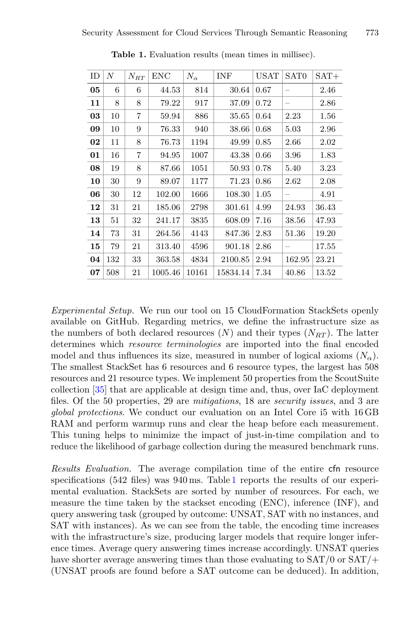| ID | N   | ${\cal N}_{RT}$ | <b>ENC</b> | $N_{\alpha}$ | <b>INF</b> | USAT | SAT <sub>0</sub>         | SAT+     |
|----|-----|-----------------|------------|--------------|------------|------|--------------------------|----------|
| 05 | 6   | 6               | 44.53      | 814          | 30.64      | 0.67 | $\overline{\phantom{0}}$ | 2.46     |
| 11 | 8   | 8               | 79.22      | 917          | 37.09      | 0.72 | $\overline{\phantom{0}}$ | 2.86     |
| 03 | 10  | 7               | 59.94      | 886          | 35.65      | 0.64 | 2.23                     | $1.56\,$ |
| 09 | 10  | 9               | 76.33      | 940          | 38.66      | 0.68 | 5.03                     | 2.96     |
| 02 | 11  | 8               | 76.73      | 1194         | 49.99      | 0.85 | 2.66                     | 2.02     |
| 01 | 16  | 7               | 94.95      | 1007         | 43.38      | 0.66 | 3.96                     | 1.83     |
| 08 | 19  | 8               | 87.66      | 1051         | 50.93      | 0.78 | 5.40                     | 3.23     |
| 10 | 30  | 9               | 89.07      | 1177         | 71.23      | 0.86 | 2.62                     | 2.08     |
| 06 | 30  | 12              | 102.00     | 1666         | 108.30     | 1.05 | -                        | 4.91     |
| 12 | 31  | 21              | 185.06     | 2798         | 301.61     | 4.99 | 24.93                    | 36.43    |
| 13 | 51  | 32              | 241.17     | 3835         | 608.09     | 7.16 | 38.56                    | 47.93    |
| 14 | 73  | 31              | 264.56     | 4143         | 847.36     | 2.83 | 51.36                    | 19.20    |
| 15 | 79  | 21              | 313.40     | 4596         | 901.18     | 2.86 |                          | 17.55    |
| 04 | 132 | 33              | 363.58     | 4834         | 2100.85    | 2.94 | 162.95                   | 23.21    |
| 07 | 508 | 21              | 1005.46    | 10161        | 15834.14   | 7.34 | 40.86                    | 13.52    |
|    |     |                 |            |              |            |      |                          |          |

<span id="page-6-0"></span>**Table 1.** Evaluation results (mean times in millisec).

*Experimental Setup.* We run our tool on 15 CloudFormation StackSets openly available on GitHub. Regarding metrics, we define the infrastructure size as the numbers of both declared resources  $(N)$  and their types  $(N_{RT})$ . The latter determines which *resource terminologies* are imported into the final encoded model and thus influences its size, measured in number of logical axioms  $(N_{\alpha})$ . The smallest StackSet has 6 resources and 6 resource types, the largest has 508 resources and 21 resource types. We implement 50 properties from the ScoutSuite collection [\[35](#page-12-14)] that are applicable at design time and, thus, over IaC deployment files. Of the 50 properties, 29 are *mitigations*, 18 are *security issues*, and 3 are *global protections*. We conduct our evaluation on an Intel Core i5 with 16 GB RAM and perform warmup runs and clear the heap before each measurement. This tuning helps to minimize the impact of just-in-time compilation and to reduce the likelihood of garbage collection during the measured benchmark runs.

*Results Evaluation.* The average compilation time of the entire cfn resource specifications (542 files) was 940 ms. Table [1](#page-6-0) reports the results of our experimental evaluation. StackSets are sorted by number of resources. For each, we measure the time taken by the stackset encoding (ENC), inference (INF), and query answering task (grouped by outcome: UNSAT, SAT with no instances, and SAT with instances). As we can see from the table, the encoding time increases with the infrastructure's size, producing larger models that require longer inference times. Average query answering times increase accordingly. UNSAT queries have shorter average answering times than those evaluating to  $SAT/0$  or  $SAT/$ + (UNSAT proofs are found before a SAT outcome can be deduced). In addition,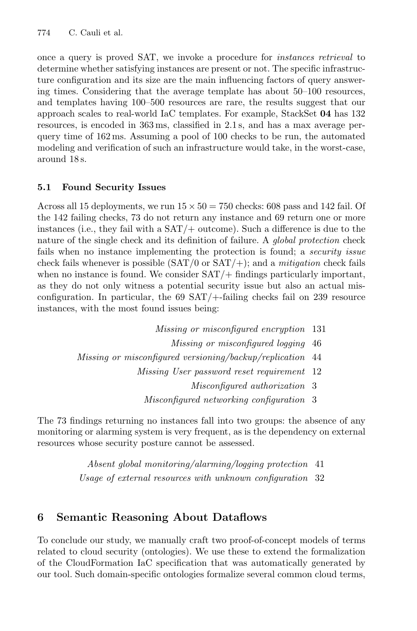once a query is proved SAT, we invoke a procedure for *instances retrieval* to determine whether satisfying instances are present or not. The specific infrastructure configuration and its size are the main influencing factors of query answering times. Considering that the average template has about 50–100 resources, and templates having 100–500 resources are rare, the results suggest that our approach scales to real-world IaC templates. For example, StackSet **04** has 132 resources, is encoded in 363 ms, classified in 2.1 s, and has a max average perquery time of 162 ms. Assuming a pool of 100 checks to be run, the automated modeling and verification of such an infrastructure would take, in the worst-case, around 18 s.

#### **5.1 Found Security Issues**

Across all 15 deployments, we run  $15 \times 50 = 750$  checks: 608 pass and 142 fail. Of the 142 failing checks, 73 do not return any instance and 69 return one or more instances (i.e., they fail with a SAT/+ outcome). Such a difference is due to the nature of the single check and its definition of failure. A *global protection* check fails when no instance implementing the protection is found; a *security issue* check fails whenever is possible (SAT/0 or SAT/+); and a *mitigation* check fails when no instance is found. We consider  $SAT/$  findings particularly important, as they do not only witness a potential security issue but also an actual misconfiguration. In particular, the  $69 \text{ SAT}/+$ -failing checks fail on 239 resource instances, with the most found issues being:

- *Missing or misconfigured encryption* 131
	- *Missing or misconfigured logging* 46
- *Missing or misconfigured versioning/backup/replication* 44
	- *Missing User password reset requirement* 12
		- *Misconfigured authorization* 3
		- *Misconfigured networking configuration* 3

The 73 findings returning no instances fall into two groups: the absence of any monitoring or alarming system is very frequent, as is the dependency on external resources whose security posture cannot be assessed.

> *Absent global monitoring/alarming/logging protection* 41 *Usage of external resources with unknown configuration* 32

## <span id="page-7-0"></span>**6 Semantic Reasoning About Dataflows**

To conclude our study, we manually craft two proof-of-concept models of terms related to cloud security (ontologies). We use these to extend the formalization of the CloudFormation IaC specification that was automatically generated by our tool. Such domain-specific ontologies formalize several common cloud terms,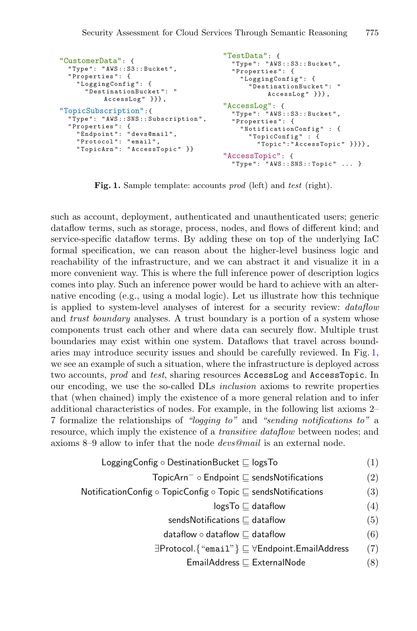```
"CustomerData": {
"Type": "AWS::S3::Bucket",
  "Properties": {
    "LoggingConfig": {
       "DestinationBucket": "
            AccessLog" }}},
"TopicSubscription":{
"Type": "AWS::SNS::Subscription",
  "Properties": {
    "Endpoint": "devs@mail",
    "Protocol": "email",
    "TopicArn": "AccessTopic" }}
                                              "TestData": {
"Type": "AWS::S3::Bucket",
                                                "Properties": {
                                                  "LoggingConfig": {
                                                     "DestinationBucket": "
                                                          AccessLog" }}},
                                              "AccessLog": {
"Type": "AWS::S3::Bucket",
                                                "Properties": {
                                                  "NotificationConfig" : {
                                                     "TopicConfig" : {
                                                       "Topic":"AccessTopic" }}}},
                                              "AccessTopic": {
"Type": "AWS::SNS::Topic" ... }
```
<span id="page-8-0"></span>**Fig. 1.** Sample template: accounts *prod* (left) and *test* (right).

such as account, deployment, authenticated and unauthenticated users; generic dataflow terms, such as storage, process, nodes, and flows of different kind; and service-specific dataflow terms. By adding these on top of the underlying IaC formal specification, we can reason about the higher-level business logic and reachability of the infrastructure, and we can abstract it and visualize it in a more convenient way. This is where the full inference power of description logics comes into play. Such an inference power would be hard to achieve with an alternative encoding (e.g., using a modal logic). Let us illustrate how this technique is applied to system-level analyses of interest for a security review: *dataflow* and *trust boundary* analyses. A trust boundary is a portion of a system whose components trust each other and where data can securely flow. Multiple trust boundaries may exist within one system. Dataflows that travel across boundaries may introduce security issues and should be carefully reviewed. In Fig. [1,](#page-8-0) we see an example of such a situation, where the infrastructure is deployed across two accounts, *prod* and *test*, sharing resources AccessLog and AccessTopic. In our encoding, we use the so-called DLs *inclusion* axioms to rewrite properties that (when chained) imply the existence of a more general relation and to infer additional characteristics of nodes. For example, in the following list axioms 2– 7 formalize the relationships of *"logging to"* and *"sending notifications to"* a resource, which imply the existence of a *transitive dataflow* between nodes; and axioms 8–9 allow to infer that the node *devs@mail* is an external node.

| Logging Config $\circ$ Destination Bucket $\sqsubseteq$ logs To                          |     |  |  |  |  |  |
|------------------------------------------------------------------------------------------|-----|--|--|--|--|--|
| TopicArn <sup><math>-</math></sup> $\circ$ Endpoint $\sqsubseteq$ sendsNotifications     | (2) |  |  |  |  |  |
| Notification Config $\circ$ Topic Config $\circ$ Topic $\sqsubseteq$ sends Notifications |     |  |  |  |  |  |
| $logsTo \sqsubseteq$ dataflow                                                            | (4) |  |  |  |  |  |
| sends Notifications $\sqsubset$ dataflow                                                 | (5) |  |  |  |  |  |
| dataflow $\circ$ dataflow $\sqsubset$ dataflow                                           | (6) |  |  |  |  |  |
| $\exists$ Protocol. $\{$ "email"} $\sqsubseteq \forall$ Endpoint.EmailAddress            | (7) |  |  |  |  |  |
| $EmailAddress \sqsubset ExternalNode$                                                    | (8) |  |  |  |  |  |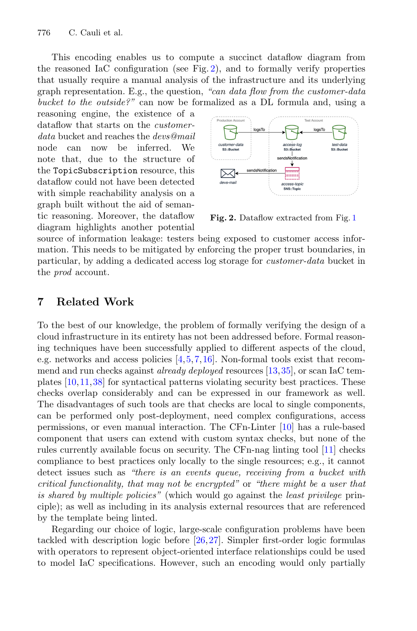This encoding enables us to compute a succinct dataflow diagram from the reasoned IaC configuration (see Fig. [2\)](#page-9-1), and to formally verify properties that usually require a manual analysis of the infrastructure and its underlying graph representation. E.g., the question, *"can data flow from the customer-data bucket to the outside?"* can now be formalized as a DL formula and, using a

reasoning engine, the existence of a dataflow that starts on the *customerdata* bucket and reaches the *devs@mail* node can now be inferred. We note that, due to the structure of the TopicSubscription resource, this dataflow could not have been detected with simple reachability analysis on a graph built without the aid of semantic reasoning. Moreover, the dataflow diagram highlights another potential



<span id="page-9-1"></span>**Fig. 2.** Dataflow extracted from Fig. [1](#page-8-0)

source of information leakage: testers being exposed to customer access information. This needs to be mitigated by enforcing the proper trust boundaries, in particular, by adding a dedicated access log storage for *customer-data* bucket in the *prod* account.

## <span id="page-9-0"></span>**7 Related Work**

To the best of our knowledge, the problem of formally verifying the design of a cloud infrastructure in its entirety has not been addressed before. Formal reasoning techniques have been successfully applied to different aspects of the cloud, e.g. networks and access policies [\[4,](#page-11-7)[5](#page-11-8)[,7](#page-11-9),[16\]](#page-11-10). Non-formal tools exist that recommend and run checks against *already deployed* resources [\[13](#page-11-11)[,35](#page-12-14)], or scan IaC templates [\[10,](#page-11-12)[11](#page-11-13)[,38](#page-12-15)] for syntactical patterns violating security best practices. These checks overlap considerably and can be expressed in our framework as well. The disadvantages of such tools are that checks are local to single components, can be performed only post-deployment, need complex configurations, access permissions, or even manual interaction. The CFn-Linter [\[10](#page-11-12)] has a rule-based component that users can extend with custom syntax checks, but none of the rules currently available focus on security. The CFn-nag linting tool [\[11\]](#page-11-13) checks compliance to best practices only locally to the single resources; e.g., it cannot detect issues such as *"there is an events queue, receiving from a bucket with critical functionality, that may not be encrypted"* or *"there might be a user that is shared by multiple policies"* (which would go against the *least privilege* principle); as well as including in its analysis external resources that are referenced by the template being linted.

Regarding our choice of logic, large-scale configuration problems have been tackled with description logic before [\[26](#page-12-16)[,27](#page-12-17)]. Simpler first-order logic formulas with operators to represent object-oriented interface relationships could be used to model IaC specifications. However, such an encoding would only partially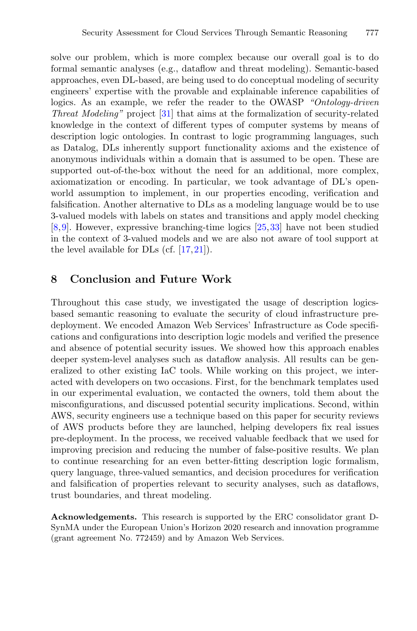solve our problem, which is more complex because our overall goal is to do formal semantic analyses (e.g., dataflow and threat modeling). Semantic-based approaches, even DL-based, are being used to do conceptual modeling of security engineers' expertise with the provable and explainable inference capabilities of logics. As an example, we refer the reader to the OWASP *"Ontology-driven Threat Modeling"* project [\[31](#page-12-18)] that aims at the formalization of security-related knowledge in the context of different types of computer systems by means of description logic ontologies. In contrast to logic programming languages, such as Datalog, DLs inherently support functionality axioms and the existence of anonymous individuals within a domain that is assumed to be open. These are supported out-of-the-box without the need for an additional, more complex, axiomatization or encoding. In particular, we took advantage of DL's openworld assumption to implement, in our properties encoding, verification and falsification. Another alternative to DLs as a modeling language would be to use 3-valued models with labels on states and transitions and apply model checking [\[8](#page-11-14)[,9](#page-11-15)]. However, expressive branching-time logics [\[25](#page-12-19),[33\]](#page-12-20) have not been studied in the context of 3-valued models and we are also not aware of tool support at the level available for  $\text{DLs}$  (cf.  $[17,21]$  $[17,21]$ ).

#### <span id="page-10-0"></span>**8 Conclusion and Future Work**

Throughout this case study, we investigated the usage of description logicsbased semantic reasoning to evaluate the security of cloud infrastructure predeployment. We encoded Amazon Web Services' Infrastructure as Code specifications and configurations into description logic models and verified the presence and absence of potential security issues. We showed how this approach enables deeper system-level analyses such as dataflow analysis. All results can be generalized to other existing IaC tools. While working on this project, we interacted with developers on two occasions. First, for the benchmark templates used in our experimental evaluation, we contacted the owners, told them about the misconfigurations, and discussed potential security implications. Second, within AWS, security engineers use a technique based on this paper for security reviews of AWS products before they are launched, helping developers fix real issues pre-deployment. In the process, we received valuable feedback that we used for improving precision and reducing the number of false-positive results. We plan to continue researching for an even better-fitting description logic formalism, query language, three-valued semantics, and decision procedures for verification and falsification of properties relevant to security analyses, such as dataflows, trust boundaries, and threat modeling.

**Acknowledgements.** This research is supported by the ERC consolidator grant D-SynMA under the European Union's Horizon 2020 research and innovation programme (grant agreement No. 772459) and by Amazon Web Services.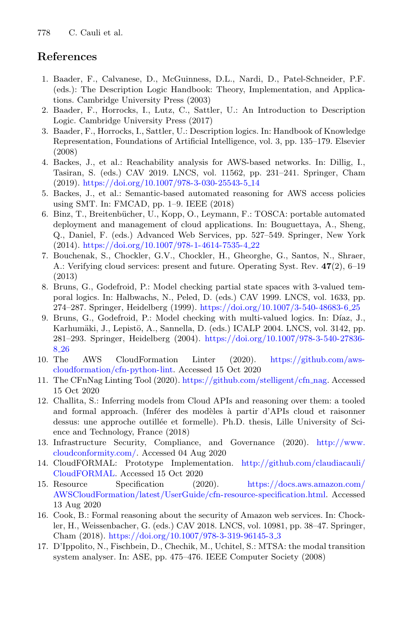## **References**

- <span id="page-11-2"></span>1. Baader, F., Calvanese, D., McGuinness, D.L., Nardi, D., Patel-Schneider, P.F. (eds.): The Description Logic Handbook: Theory, Implementation, and Applications. Cambridge University Press (2003)
- <span id="page-11-3"></span>2. Baader, F., Horrocks, I., Lutz, C., Sattler, U.: An Introduction to Description Logic. Cambridge University Press (2017)
- <span id="page-11-4"></span>3. Baader, F., Horrocks, I., Sattler, U.: Description logics. In: Handbook of Knowledge Representation, Foundations of Artificial Intelligence, vol. 3, pp. 135–179. Elsevier (2008)
- <span id="page-11-7"></span>4. Backes, J., et al.: Reachability analysis for AWS-based networks. In: Dillig, I., Tasiran, S. (eds.) CAV 2019. LNCS, vol. 11562, pp. 231–241. Springer, Cham (2019). [https://doi.org/10.1007/978-3-030-25543-5](https://doi.org/10.1007/978-3-030-25543-5_14) 14
- <span id="page-11-8"></span>5. Backes, J., et al.: Semantic-based automated reasoning for AWS access policies using SMT. In: FMCAD, pp. 1–9. IEEE (2018)
- <span id="page-11-0"></span>6. Binz, T., Breitenbücher, U., Kopp, O., Leymann, F.: TOSCA: portable automated deployment and management of cloud applications. In: Bouguettaya, A., Sheng, Q., Daniel, F. (eds.) Advanced Web Services, pp. 527–549. Springer, New York (2014). [https://doi.org/10.1007/978-1-4614-7535-4](https://doi.org/10.1007/978-1-4614-7535-4_22) 22
- <span id="page-11-9"></span>7. Bouchenak, S., Chockler, G.V., Chockler, H., Gheorghe, G., Santos, N., Shraer, A.: Verifying cloud services: present and future. Operating Syst. Rev. **47**(2), 6–19 (2013)
- <span id="page-11-14"></span>8. Bruns, G., Godefroid, P.: Model checking partial state spaces with 3-valued temporal logics. In: Halbwachs, N., Peled, D. (eds.) CAV 1999. LNCS, vol. 1633, pp. 274–287. Springer, Heidelberg (1999). [https://doi.org/10.1007/3-540-48683-6](https://doi.org/10.1007/3-540-48683-6_25) 25
- <span id="page-11-15"></span>9. Bruns, G., Godefroid, P.: Model checking with multi-valued logics. In: Díaz, J., Karhumäki, J., Lepistö, A., Sannella, D. (eds.) ICALP 2004. LNCS, vol. 3142, pp. 281–293. Springer, Heidelberg (2004). [https://doi.org/10.1007/978-3-540-27836-](https://doi.org/10.1007/978-3-540-27836-8_26) 8 [26](https://doi.org/10.1007/978-3-540-27836-8_26)
- <span id="page-11-12"></span>10. The AWS CloudFormation Linter (2020). [https://github.com/aws](https://github.com/aws-cloudformation/cfn-python-lint)[cloudformation/cfn-python-lint.](https://github.com/aws-cloudformation/cfn-python-lint) Accessed 15 Oct 2020
- <span id="page-11-13"></span>11. The CFnNag Linting Tool (2020). [https://github.com/stelligent/cfn](https://github.com/stelligent/cfn_nag) nag. Accessed 15 Oct 2020
- <span id="page-11-6"></span>12. Challita, S.: Inferring models from Cloud APIs and reasoning over them: a tooled and formal approach. (Inférer des modèles à partir d'APIs cloud et raisonner dessus: une approche outillée et formelle). Ph.D. thesis, Lille University of Science and Technology, France (2018)
- <span id="page-11-11"></span>13. Infrastructure Security, Compliance, and Governance (2020). [http://www.](http://www.cloudconformity.com/) [cloudconformity.com/.](http://www.cloudconformity.com/) Accessed 04 Aug 2020
- <span id="page-11-1"></span>14. CloudFORMAL: Prototype Implementation. [http://github.com/claudiacauli/](http://github.com/claudiacauli/CloudFORMAL) [CloudFORMAL.](http://github.com/claudiacauli/CloudFORMAL) Accessed 15 Oct 2020
- <span id="page-11-5"></span>15. Resource Specification (2020). [https://docs.aws.amazon.com/](https://docs.aws.amazon.com/AWSCloudFormation/latest/UserGuide/cfn-resource-specification.html) [AWSCloudFormation/latest/UserGuide/cfn-resource-specification.html.](https://docs.aws.amazon.com/AWSCloudFormation/latest/UserGuide/cfn-resource-specification.html) Accessed 13 Aug 2020
- <span id="page-11-10"></span>16. Cook, B.: Formal reasoning about the security of Amazon web services. In: Chockler, H., Weissenbacher, G. (eds.) CAV 2018. LNCS, vol. 10981, pp. 38–47. Springer, Cham (2018). [https://doi.org/10.1007/978-3-319-96145-3](https://doi.org/10.1007/978-3-319-96145-3_3) 3
- <span id="page-11-16"></span>17. D'Ippolito, N., Fischbein, D., Chechik, M., Uchitel, S.: MTSA: the modal transition system analyser. In: ASE, pp. 475–476. IEEE Computer Society (2008)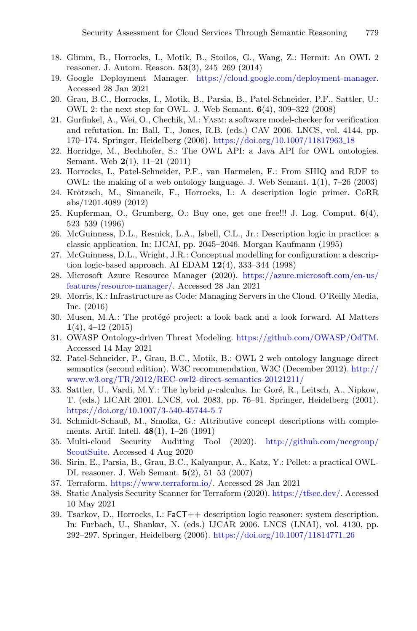- <span id="page-12-7"></span>18. Glimm, B., Horrocks, I., Motik, B., Stoilos, G., Wang, Z.: Hermit: An OWL 2 reasoner. J. Autom. Reason. **53**(3), 245–269 (2014)
- <span id="page-12-3"></span>19. Google Deployment Manager. [https://cloud.google.com/deployment-manager.](https://cloud.google.com/deployment-manager) Accessed 28 Jan 2021
- <span id="page-12-4"></span>20. Grau, B.C., Horrocks, I., Motik, B., Parsia, B., Patel-Schneider, P.F., Sattler, U.: OWL 2: the next step for OWL. J. Web Semant. **6**(4), 309–322 (2008)
- <span id="page-12-21"></span>21. Gurfinkel, A., Wei, O., Chechik, M.: Yasm: a software model-checker for verification and refutation. In: Ball, T., Jones, R.B. (eds.) CAV 2006. LNCS, vol. 4144, pp. 170–174. Springer, Heidelberg (2006). [https://doi.org/10.1007/11817963](https://doi.org/10.1007/11817963_18) 18
- <span id="page-12-13"></span>22. Horridge, M., Bechhofer, S.: The OWL API: a Java API for OWL ontologies. Semant. Web **2**(1), 11–21 (2011)
- <span id="page-12-5"></span>23. Horrocks, I., Patel-Schneider, P.F., van Harmelen, F.: From SHIQ and RDF to OWL: the making of a web ontology language. J. Web Semant. **1**(1), 7–26 (2003)
- <span id="page-12-11"></span>24. Krötzsch, M., Simancik, F., Horrocks, I.: A description logic primer. CoRR abs/1201.4089 (2012)
- <span id="page-12-19"></span>25. Kupferman, O., Grumberg, O.: Buy one, get one free!!! J. Log. Comput. **6**(4), 523–539 (1996)
- <span id="page-12-16"></span>26. McGuinness, D.L., Resnick, L.A., Isbell, C.L., Jr.: Description logic in practice: a classic application. In: IJCAI, pp. 2045–2046. Morgan Kaufmann (1995)
- <span id="page-12-17"></span>27. McGuinness, D.L., Wright, J.R.: Conceptual modelling for configuration: a description logic-based approach. AI EDAM **12**(4), 333–344 (1998)
- <span id="page-12-2"></span>28. Microsoft Azure Resource Manager (2020). [https://azure.microsoft.com/en-us/](https://azure.microsoft.com/en-us/features/resource-manager/) [features/resource-manager/.](https://azure.microsoft.com/en-us/features/resource-manager/) Accessed 28 Jan 2021
- <span id="page-12-0"></span>29. Morris, K.: Infrastructure as Code: Managing Servers in the Cloud. O'Reilly Media, Inc. (2016)
- <span id="page-12-8"></span>30. Musen, M.A.: The protégé project: a look back and a look forward. AI Matters **1**(4), 4–12 (2015)
- <span id="page-12-18"></span>31. OWASP Ontology-driven Threat Modeling. [https://github.com/OWASP/OdTM.](https://github.com/OWASP/OdTM) Accessed 14 May 2021
- <span id="page-12-6"></span>32. Patel-Schneider, P., Grau, B.C., Motik, B.: OWL 2 web ontology language direct semantics (second edition). W3C recommendation, W3C (December 2012). [http://](http://www.w3.org/TR/2012/REC-owl2-direct-semantics-20121211/) [www.w3.org/TR/2012/REC-owl2-direct-semantics-20121211/](http://www.w3.org/TR/2012/REC-owl2-direct-semantics-20121211/)
- <span id="page-12-20"></span>33. Sattler, U., Vardi, M.Y.: The hybrid  $\mu$ -calculus. In: Goré, R., Leitsch, A., Nipkow, T. (eds.) IJCAR 2001. LNCS, vol. 2083, pp. 76–91. Springer, Heidelberg (2001). [https://doi.org/10.1007/3-540-45744-5](https://doi.org/10.1007/3-540-45744-5_7) 7
- <span id="page-12-12"></span>34. Schmidt-Schauß, M., Smolka, G.: Attributive concept descriptions with complements. Artif. Intell. **48**(1), 1–26 (1991)
- <span id="page-12-14"></span>35. Multi-cloud Security Auditing Tool (2020). [http://github.com/nccgroup/](http://github.com/nccgroup/ScoutSuite) [ScoutSuite.](http://github.com/nccgroup/ScoutSuite) Accessed 4 Aug 2020
- <span id="page-12-9"></span>36. Sirin, E., Parsia, B., Grau, B.C., Kalyanpur, A., Katz, Y.: Pellet: a practical OWL-DL reasoner. J. Web Semant. **5**(2), 51–53 (2007)
- <span id="page-12-1"></span>37. Terraform. [https://www.terraform.io/.](https://www.terraform.io/) Accessed 28 Jan 2021
- <span id="page-12-15"></span>38. Static Analysis Security Scanner for Terraform (2020). [https://tfsec.dev/.](https://tfsec.dev/) Accessed 10 May 2021
- <span id="page-12-10"></span>39. Tsarkov, D., Horrocks, I.: FaCT++ description logic reasoner: system description. In: Furbach, U., Shankar, N. (eds.) IJCAR 2006. LNCS (LNAI), vol. 4130, pp. 292–297. Springer, Heidelberg (2006). [https://doi.org/10.1007/11814771](https://doi.org/10.1007/11814771_26) 26